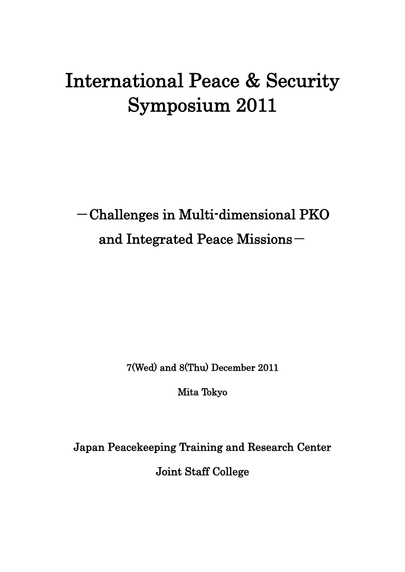# International Peace & Security Symposium 2011

-Challenges in Multi-dimensional PKO and Integrated Peace Missions-

7(Wed) and 8(Thu) December 2011

Mita Tokyo

Japan Peacekeeping Training and Research Center

Joint Staff College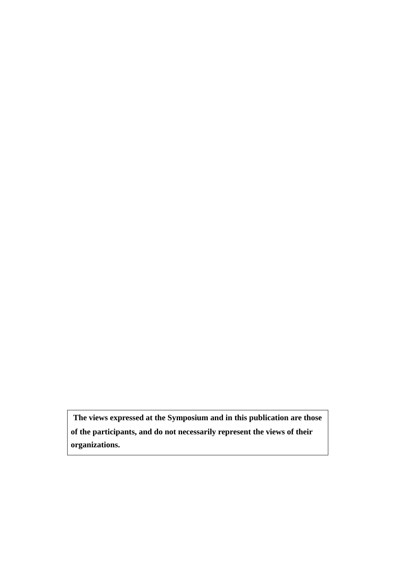**The views expressed at the Symposium and in this publication are those of the participants, and do not necessarily represent the views of their organizations.**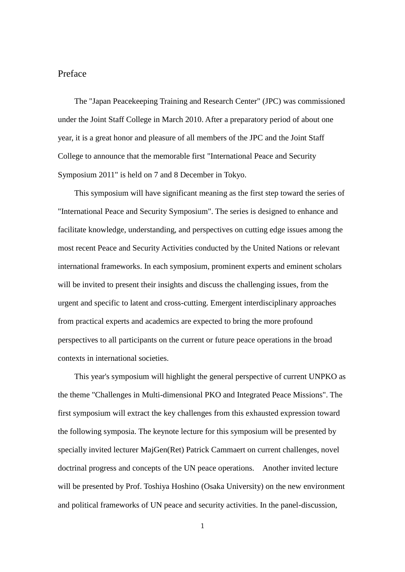# Preface

The "Japan Peacekeeping Training and Research Center" (JPC) was commissioned under the Joint Staff College in March 2010. After a preparatory period of about one year, it is a great honor and pleasure of all members of the JPC and the Joint Staff College to announce that the memorable first "International Peace and Security Symposium 2011" is held on 7 and 8 December in Tokyo.

This symposium will have significant meaning as the first step toward the series of "International Peace and Security Symposium". The series is designed to enhance and facilitate knowledge, understanding, and perspectives on cutting edge issues among the most recent Peace and Security Activities conducted by the United Nations or relevant international frameworks. In each symposium, prominent experts and eminent scholars will be invited to present their insights and discuss the challenging issues, from the urgent and specific to latent and cross-cutting. Emergent interdisciplinary approaches from practical experts and academics are expected to bring the more profound perspectives to all participants on the current or future peace operations in the broad contexts in international societies.

This year's symposium will highlight the general perspective of current UNPKO as the theme "Challenges in Multi-dimensional PKO and Integrated Peace Missions". The first symposium will extract the key challenges from this exhausted expression toward the following symposia. The keynote lecture for this symposium will be presented by specially invited lecturer MajGen(Ret) Patrick Cammaert on current challenges, novel doctrinal progress and concepts of the UN peace operations. Another invited lecture will be presented by Prof. Toshiya Hoshino (Osaka University) on the new environment and political frameworks of UN peace and security activities. In the panel-discussion,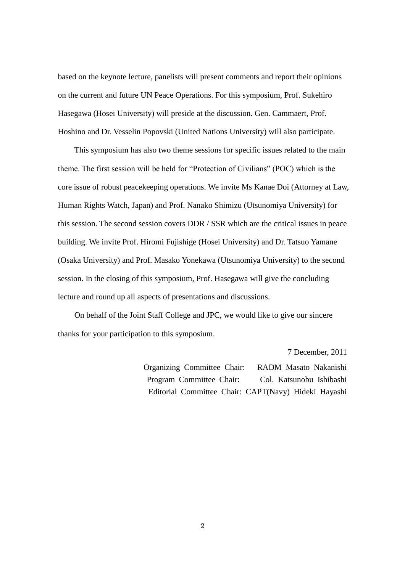based on the keynote lecture, panelists will present comments and report their opinions on the current and future UN Peace Operations. For this symposium, Prof. Sukehiro Hasegawa (Hosei University) will preside at the discussion. Gen. Cammaert, Prof. Hoshino and Dr. Vesselin Popovski (United Nations University) will also participate.

This symposium has also two theme sessions for specific issues related to the main theme. The first session will be held for "Protection of Civilians" (POC) which is the core issue of robust peacekeeping operations. We invite Ms Kanae Doi (Attorney at Law, Human Rights Watch, Japan) and Prof. Nanako Shimizu (Utsunomiya University) for this session. The second session covers DDR / SSR which are the critical issues in peace building. We invite Prof. Hiromi Fujishige (Hosei University) and Dr. Tatsuo Yamane (Osaka University) and Prof. Masako Yonekawa (Utsunomiya University) to the second session. In the closing of this symposium, Prof. Hasegawa will give the concluding lecture and round up all aspects of presentations and discussions.

On behalf of the Joint Staff College and JPC, we would like to give our sincere thanks for your participation to this symposium.

> 7 December, 2011 Organizing Committee Chair: RADM Masato Nakanishi Program Committee Chair: Col. Katsunobu Ishibashi

Editorial Committee Chair: CAPT(Navy) Hideki Hayashi

2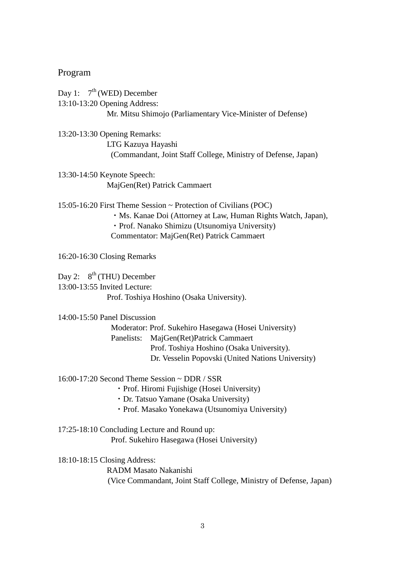## Program

Day 1:  $7<sup>th</sup>$  (WED) December 13:10-13:20 Opening Address: Mr. Mitsu Shimojo (Parliamentary Vice-Minister of Defense)

13:20-13:30 Opening Remarks: LTG Kazuya Hayashi (Commandant, Joint Staff College, Ministry of Defense, Japan)

13:30-14:50 Keynote Speech: MajGen(Ret) Patrick Cammaert

15:05-16:20 First Theme Session ~ Protection of Civilians (POC)

- ・Ms. Kanae Doi (Attorney at Law, Human Rights Watch, Japan),
- ・Prof. Nanako Shimizu (Utsunomiya University)

Commentator: MajGen(Ret) Patrick Cammaert

16:20-16:30 Closing Remarks

Day 2:  $8^{th}$  (THU) December 13:00-13:55 Invited Lecture: Prof. Toshiya Hoshino (Osaka University).

14:00-15:50 Panel Discussion

 Moderator: Prof. Sukehiro Hasegawa (Hosei University) Panelists: MajGen(Ret)Patrick Cammaert Prof. Toshiya Hoshino (Osaka University). Dr. Vesselin Popovski (United Nations University)

16:00-17:20 Second Theme Session ~ DDR / SSR

- ・Prof. Hiromi Fujishige (Hosei University)
- ・Dr. Tatsuo Yamane (Osaka University)
- ・Prof. Masako Yonekawa (Utsunomiya University)
- 17:25-18:10 Concluding Lecture and Round up: Prof. Sukehiro Hasegawa (Hosei University)

18:10-18:15 Closing Address: RADM Masato Nakanishi (Vice Commandant, Joint Staff College, Ministry of Defense, Japan)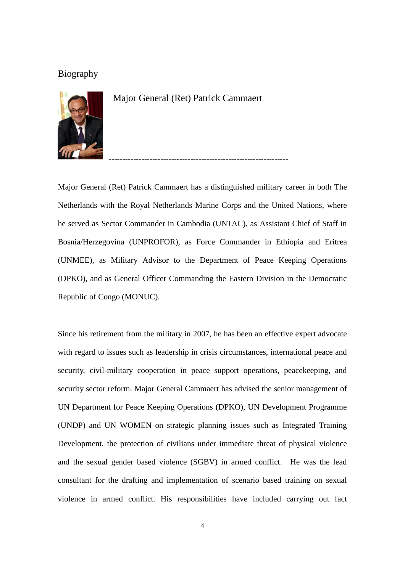# Biography



Major General (Ret) Patrick Cammaert

Major General (Ret) Patrick Cammaert has a distinguished military career in both The Netherlands with the Royal Netherlands Marine Corps and the United Nations, where he served as Sector Commander in Cambodia (UNTAC), as Assistant Chief of Staff in Bosnia/Herzegovina (UNPROFOR), as Force Commander in Ethiopia and Eritrea (UNMEE), as Military Advisor to the Department of Peace Keeping Operations (DPKO), and as General Officer Commanding the Eastern Division in the Democratic Republic of Congo (MONUC).

------------------------------------------------------------------

Since his retirement from the military in 2007, he has been an effective expert advocate with regard to issues such as leadership in crisis circumstances, international peace and security, civil-military cooperation in peace support operations, peacekeeping, and security sector reform. Major General Cammaert has advised the senior management of UN Department for Peace Keeping Operations (DPKO), UN Development Programme (UNDP) and UN WOMEN on strategic planning issues such as Integrated Training Development, the protection of civilians under immediate threat of physical violence and the sexual gender based violence (SGBV) in armed conflict. He was the lead consultant for the drafting and implementation of scenario based training on sexual violence in armed conflict. His responsibilities have included carrying out fact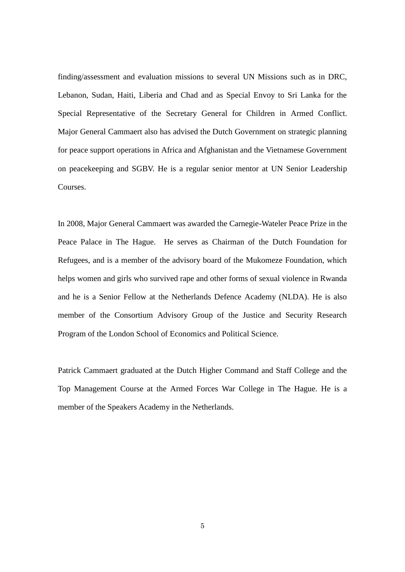finding/assessment and evaluation missions to several UN Missions such as in DRC, Lebanon, Sudan, Haiti, Liberia and Chad and as Special Envoy to Sri Lanka for the Special Representative of the Secretary General for Children in Armed Conflict. Major General Cammaert also has advised the Dutch Government on strategic planning for peace support operations in Africa and Afghanistan and the Vietnamese Government on peacekeeping and SGBV. He is a regular senior mentor at UN Senior Leadership Courses.

In 2008, Major General Cammaert was awarded the Carnegie-Wateler Peace Prize in the Peace Palace in The Hague. He serves as Chairman of the Dutch Foundation for Refugees, and is a member of the advisory board of the Mukomeze Foundation, which helps women and girls who survived rape and other forms of sexual violence in Rwanda and he is a Senior Fellow at the Netherlands Defence Academy (NLDA). He is also member of the Consortium Advisory Group of the Justice and Security Research Program of the London School of Economics and Political Science.

Patrick Cammaert graduated at the Dutch Higher Command and Staff College and the Top Management Course at the Armed Forces War College in The Hague. He is a member of the Speakers Academy in the Netherlands.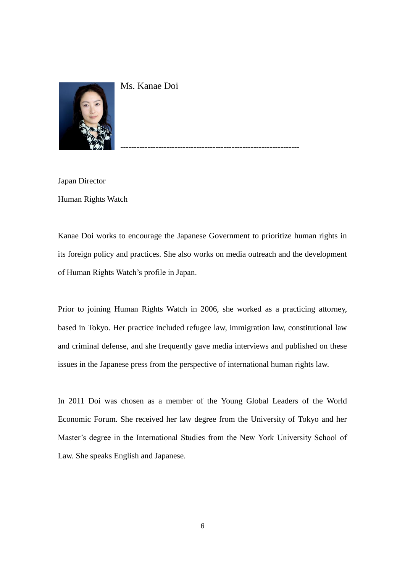

Ms. Kanae Doi

Japan Director Human Rights Watch

Kanae Doi works to encourage the Japanese Government to prioritize human rights in its foreign policy and practices. She also works on media outreach and the development of Human Rights Watch's profile in Japan.

------------------------------------------------------------------

Prior to joining Human Rights Watch in 2006, she worked as a practicing attorney, based in Tokyo. Her practice included refugee law, immigration law, constitutional law and criminal defense, and she frequently gave media interviews and published on these issues in the Japanese press from the perspective of international human rights law.

In 2011 Doi was chosen as a member of the Young Global Leaders of the World Economic Forum. She received her law degree from the University of Tokyo and her Master's degree in the International Studies from the New York University School of Law. She speaks English and Japanese.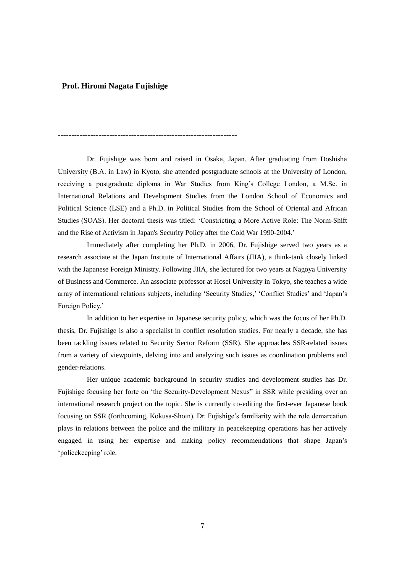#### **Prof. Hiromi Nagata Fujishige**

------------------------------------------------------------------

Dr. Fujishige was born and raised in Osaka, Japan. After graduating from Doshisha University (B.A. in Law) in Kyoto, she attended postgraduate schools at the University of London, receiving a postgraduate diploma in War Studies from King's College London, a M.Sc. in International Relations and Development Studies from the London School of Economics and Political Science (LSE) and a Ph.D. in Political Studies from the School of Oriental and African Studies (SOAS). Her doctoral thesis was titled: 'Constricting a More Active Role: The Norm-Shift and the Rise of Activism in Japan's Security Policy after the Cold War 1990-2004.'

Immediately after completing her Ph.D. in 2006, Dr. Fujishige served two years as a research associate at the Japan Institute of International Affairs (JIIA), a think-tank closely linked with the Japanese Foreign Ministry. Following JIIA, she lectured for two years at Nagoya University of Business and Commerce. An associate professor at Hosei University in Tokyo, she teaches a wide array of international relations subjects, including 'Security Studies,' 'Conflict Studies' and 'Japan's Foreign Policy.'

In addition to her expertise in Japanese security policy, which was the focus of her Ph.D. thesis, Dr. Fujishige is also a specialist in conflict resolution studies. For nearly a decade, she has been tackling issues related to Security Sector Reform (SSR). She approaches SSR-related issues from a variety of viewpoints, delving into and analyzing such issues as coordination problems and gender-relations.

Her unique academic background in security studies and development studies has Dr. Fujishige focusing her forte on 'the Security-Development Nexus" in SSR while presiding over an international research project on the topic. She is currently co-editing the first-ever Japanese book focusing on SSR (forthcoming, Kokusa-Shoin). Dr. Fujishige's familiarity with the role demarcation plays in relations between the police and the military in peacekeeping operations has her actively engaged in using her expertise and making policy recommendations that shape Japan's 'policekeeping' role.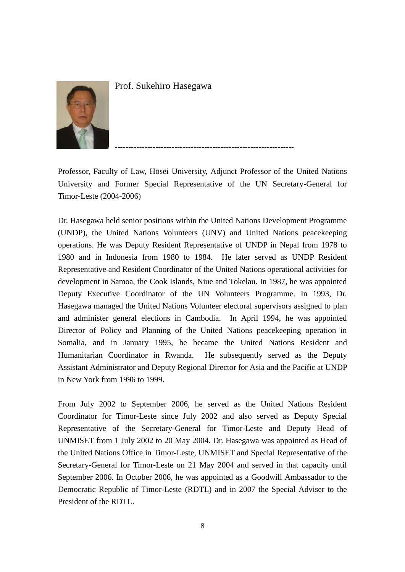

Prof. Sukehiro Hasegawa

Professor, Faculty of Law, Hosei University, Adjunct Professor of the United Nations University and Former Special Representative of the UN Secretary-General for Timor-Leste (2004-2006)

------------------------------------------------------------------

Dr. Hasegawa held senior positions within the United Nations Development Programme (UNDP), the United Nations Volunteers (UNV) and United Nations peacekeeping operations. He was Deputy Resident Representative of UNDP in Nepal from 1978 to 1980 and in Indonesia from 1980 to 1984. He later served as UNDP Resident Representative and Resident Coordinator of the United Nations operational activities for development in Samoa, the Cook Islands, Niue and Tokelau. In 1987, he was appointed Deputy Executive Coordinator of the UN Volunteers Programme. In 1993, Dr. Hasegawa managed the United Nations Volunteer electoral supervisors assigned to plan and administer general elections in Cambodia. In April 1994, he was appointed Director of Policy and Planning of the United Nations peacekeeping operation in Somalia, and in January 1995, he became the United Nations Resident and Humanitarian Coordinator in Rwanda. He subsequently served as the Deputy Assistant Administrator and Deputy Regional Director for Asia and the Pacific at UNDP in New York from 1996 to 1999.

From July 2002 to September 2006, he served as the United Nations Resident Coordinator for Timor-Leste since July 2002 and also served as Deputy Special Representative of the Secretary-General for Timor-Leste and Deputy Head of UNMISET from 1 July 2002 to 20 May 2004. Dr. Hasegawa was appointed as Head of the United Nations Office in Timor-Leste, UNMISET and Special Representative of the Secretary-General for Timor-Leste on 21 May 2004 and served in that capacity until September 2006. In October 2006, he was appointed as a Goodwill Ambassador to the Democratic Republic of Timor-Leste (RDTL) and in 2007 the Special Adviser to the President of the RDTL.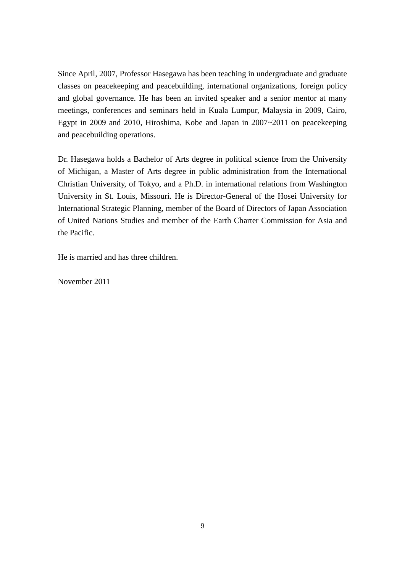Since April, 2007, Professor Hasegawa has been teaching in undergraduate and graduate classes on peacekeeping and peacebuilding, international organizations, foreign policy and global governance. He has been an invited speaker and a senior mentor at many meetings, conferences and seminars held in Kuala Lumpur, Malaysia in 2009, Cairo, Egypt in 2009 and 2010, Hiroshima, Kobe and Japan in 2007~2011 on peacekeeping and peacebuilding operations.

Dr. Hasegawa holds a Bachelor of Arts degree in political science from the University of Michigan, a Master of Arts degree in public administration from the International Christian University, of Tokyo, and a Ph.D. in international relations from Washington University in St. Louis, Missouri. He is Director-General of the Hosei University for International Strategic Planning, member of the Board of Directors of Japan Association of United Nations Studies and member of the Earth Charter Commission for Asia and the Pacific.

He is married and has three children.

November 2011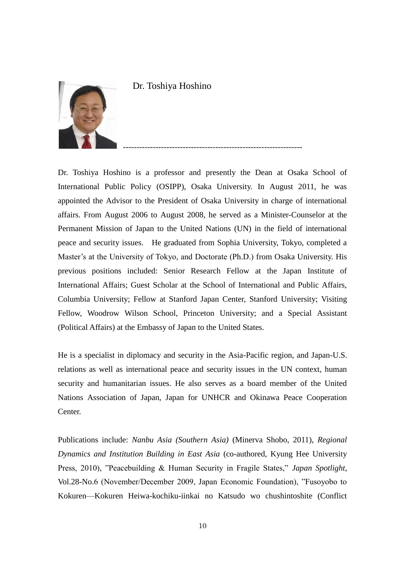

Dr. Toshiya Hoshino

Dr. Toshiya Hoshino is a professor and presently the Dean at Osaka School of International Public Policy (OSIPP), Osaka University. In August 2011, he was appointed the Advisor to the President of Osaka University in charge of international affairs. From August 2006 to August 2008, he served as a Minister-Counselor at the Permanent Mission of Japan to the United Nations (UN) in the field of international peace and security issues. He graduated from Sophia University, Tokyo, completed a Master's at the University of Tokyo, and Doctorate (Ph.D.) from Osaka University. His previous positions included: Senior Research Fellow at the Japan Institute of International Affairs; Guest Scholar at the School of International and Public Affairs, Columbia University; Fellow at Stanford Japan Center, Stanford University; Visiting Fellow, Woodrow Wilson School, Princeton University; and a Special Assistant (Political Affairs) at the Embassy of Japan to the United States.

------------------------------------------------------------------

He is a specialist in diplomacy and security in the Asia-Pacific region, and Japan-U.S. relations as well as international peace and security issues in the UN context, human security and humanitarian issues. He also serves as a board member of the United Nations Association of Japan, Japan for UNHCR and Okinawa Peace Cooperation Center.

Publications include: *Nanbu Asia (Southern Asia)* (Minerva Shobo, 2011), *Regional Dynamics and Institution Building in East Asia* (co-authored, Kyung Hee University Press, 2010), "Peacebuilding & Human Security in Fragile States," *Japan Spotlight*, Vol.28-No.6 (November/December 2009, Japan Economic Foundation), "Fusoyobo to Kokuren—Kokuren Heiwa-kochiku-iinkai no Katsudo wo chushintoshite (Conflict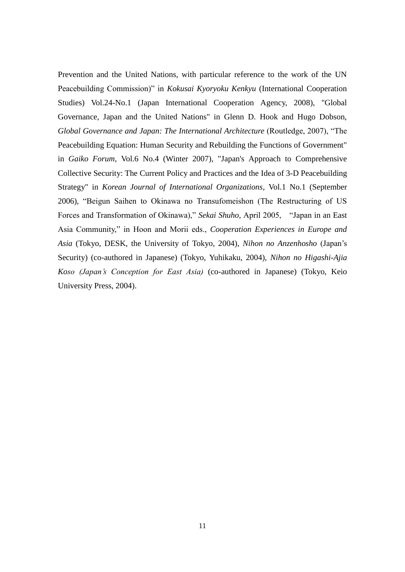Prevention and the United Nations, with particular reference to the work of the UN Peacebuilding Commission)" in *Kokusai Kyoryoku Kenkyu* (International Cooperation Studies) Vol.24-No.1 (Japan International Cooperation Agency, 2008), "Global Governance, Japan and the United Nations" in Glenn D. Hook and Hugo Dobson, *Global Governance and Japan: The International Architecture (Routledge, 2007), "The* Peacebuilding Equation: Human Security and Rebuilding the Functions of Government" in *Gaiko Forum*, Vol.6 No.4 (Winter 2007), "Japan's Approach to Comprehensive Collective Security: The Current Policy and Practices and the Idea of 3-D Peacebuilding Strategy" in *Korean Journal of International Organizations*, Vol.1 No.1 (September 2006), "Beigun Saihen to Okinawa no Transufomeishon (The Restructuring of US Forces and Transformation of Okinawa)," *Sekai Shuho,* April 2005, "Japan in an East Asia Community," in Hoon and Morii eds., *Cooperation Experiences in Europe and Asia* (Tokyo, DESK, the University of Tokyo, 2004), *Nihon no Anzenhosho* (Japan's Security) (co-authored in Japanese) (Tokyo, Yuhikaku, 2004), *Nihon no Higashi-Ajia Koso (Japan's Conception for East Asia)* (co-authored in Japanese) (Tokyo, Keio University Press, 2004).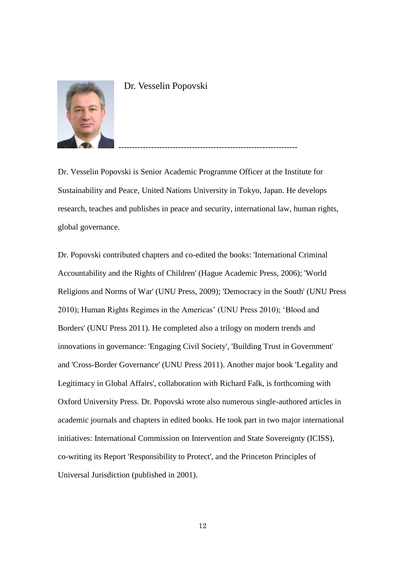

Dr. Vesselin Popovski

Dr. Vesselin Popovski is Senior Academic Programme Officer at the Institute for Sustainability and Peace, United Nations University in Tokyo, Japan. He develops research, teaches and publishes in peace and security, international law, human rights, global governance.

------------------------------------------------------------------

Dr. Popovski contributed chapters and co-edited the books: 'International Criminal Accountability and the Rights of Children' (Hague Academic Press, 2006); 'World Religions and Norms of War' (UNU Press, 2009); 'Democracy in the South' (UNU Press 2010); Human Rights Regimes in the Americas' (UNU Press 2010); 'Blood and Borders' (UNU Press 2011). He completed also a trilogy on modern trends and innovations in governance: 'Engaging Civil Society', 'Building Trust in Government' and 'Cross-Border Governance' (UNU Press 2011). Another major book 'Legality and Legitimacy in Global Affairs', collaboration with Richard Falk, is forthcoming with Oxford University Press. Dr. Popovski wrote also numerous single-authored articles in academic journals and chapters in edited books. He took part in two major international initiatives: International Commission on Intervention and State Sovereignty (ICISS), co-writing its Report 'Responsibility to Protect', and the Princeton Principles of Universal Jurisdiction (published in 2001).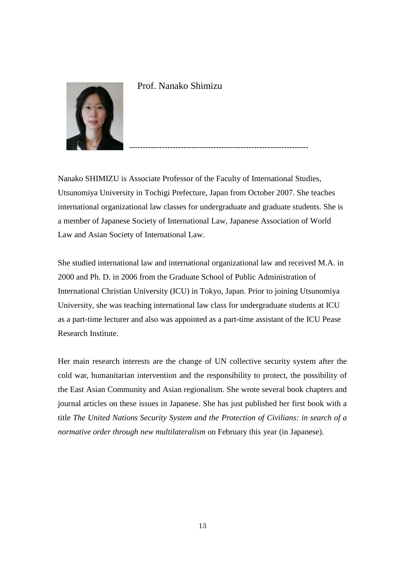

Prof. Nanako Shimizu

Nanako SHIMIZU is Associate Professor of the Faculty of International Studies, Utsunomiya University in Tochigi Prefecture, Japan from October 2007. She teaches international organizational law classes for undergraduate and graduate students. She is a member of Japanese Society of International Law, Japanese Association of World Law and Asian Society of International Law.

------------------------------------------------------------------

She studied international law and international organizational law and received M.A. in 2000 and Ph. D. in 2006 from the Graduate School of Public Administration of International Christian University (ICU) in Tokyo, Japan. Prior to joining Utsunomiya University, she was teaching international law class for undergraduate students at ICU as a part-time lecturer and also was appointed as a part-time assistant of the ICU Pease Research Institute.

Her main research interests are the change of UN collective security system after the cold war, humanitarian intervention and the responsibility to protect, the possibility of the East Asian Community and Asian regionalism. She wrote several book chapters and journal articles on these issues in Japanese. She has just published her first book with a title *The United Nations Security System and the Protection of Civilians: in search of a normative order through new multilateralism* on February this year (in Japanese).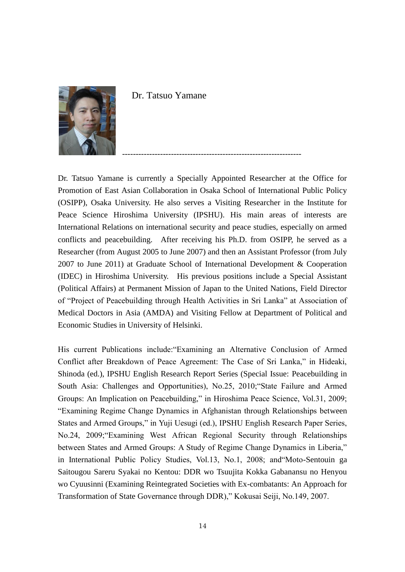

Dr. Tatsuo Yamane

Dr. Tatsuo Yamane is currently a Specially Appointed Researcher at the Office for Promotion of East Asian Collaboration in Osaka School of International Public Policy (OSIPP), Osaka University. He also serves a Visiting Researcher in the Institute for Peace Science Hiroshima University (IPSHU). His main areas of interests are International Relations on international security and peace studies, especially on armed conflicts and peacebuilding. After receiving his Ph.D. from OSIPP, he served as a Researcher (from August 2005 to June 2007) and then an Assistant Professor (from July 2007 to June 2011) at Graduate School of International Development & Cooperation (IDEC) in Hiroshima University. His previous positions include a Special Assistant (Political Affairs) at Permanent Mission of Japan to the United Nations, Field Director of "Project of Peacebuilding through Health Activities in Sri Lanka" at Association of Medical Doctors in Asia (AMDA) and Visiting Fellow at Department of Political and Economic Studies in University of Helsinki.

------------------------------------------------------------------

His current Publications include:"Examining an Alternative Conclusion of Armed Conflict after Breakdown of Peace Agreement: The Case of Sri Lanka," in Hideaki, Shinoda (ed.), IPSHU English Research Report Series (Special Issue: Peacebuilding in South Asia: Challenges and Opportunities), No.25, 2010;"State Failure and Armed Groups: An Implication on Peacebuilding," in Hiroshima Peace Science, Vol.31, 2009; "Examining Regime Change Dynamics in Afghanistan through Relationships between States and Armed Groups," in Yuji Uesugi (ed.), IPSHU English Research Paper Series, No.24, 2009;"Examining West African Regional Security through Relationships between States and Armed Groups: A Study of Regime Change Dynamics in Liberia," in International Public Policy Studies, Vol.13, No.1, 2008; and"Moto-Sentouin ga Saitougou Sareru Syakai no Kentou: DDR wo Tsuujita Kokka Gabanansu no Henyou wo Cyuusinni (Examining Reintegrated Societies with Ex-combatants: An Approach for Transformation of State Governance through DDR)," Kokusai Seiji, No.149, 2007.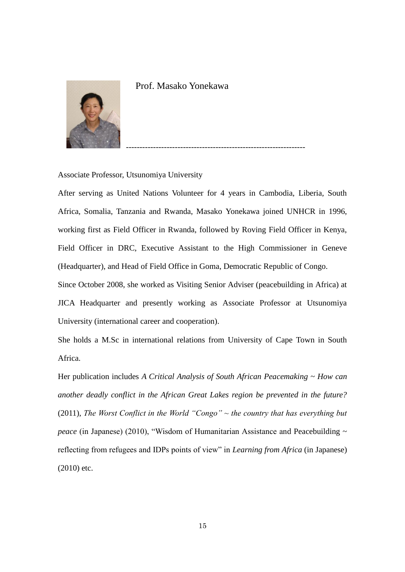

Prof. Masako Yonekawa

Associate Professor, Utsunomiya University

After serving as United Nations Volunteer for 4 years in Cambodia, Liberia, South Africa, Somalia, Tanzania and Rwanda, Masako Yonekawa joined UNHCR in 1996, working first as Field Officer in Rwanda, followed by Roving Field Officer in Kenya, Field Officer in DRC, Executive Assistant to the High Commissioner in Geneve (Headquarter), and Head of Field Office in Goma, Democratic Republic of Congo.

------------------------------------------------------------------

Since October 2008, she worked as Visiting Senior Adviser (peacebuilding in Africa) at JICA Headquarter and presently working as Associate Professor at Utsunomiya University (international career and cooperation).

She holds a M.Sc in international relations from University of Cape Town in South Africa.

Her publication includes *A Critical Analysis of South African Peacemaking ~ How can another deadly conflict in the African Great Lakes region be prevented in the future?* (2011), *The Worst Conflict in the World "Congo" ~ the country that has everything but peace* (in Japanese) (2010), "Wisdom of Humanitarian Assistance and Peacebuilding ~ reflecting from refugees and IDPs points of view" in *Learning from Africa* (in Japanese) (2010) etc.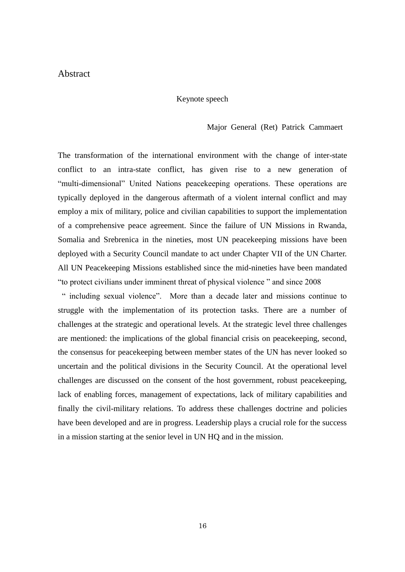# Abstract

#### Keynote speech

#### Major General (Ret) Patrick Cammaert

The transformation of the international environment with the change of inter-state conflict to an intra-state conflict, has given rise to a new generation of "multi-dimensional" United Nations peacekeeping operations. These operations are typically deployed in the dangerous aftermath of a violent internal conflict and may employ a mix of military, police and civilian capabilities to support the implementation of a comprehensive peace agreement. Since the failure of UN Missions in Rwanda, Somalia and Srebrenica in the nineties, most UN peacekeeping missions have been deployed with a Security Council mandate to act under Chapter VII of the UN Charter. All UN Peacekeeping Missions established since the mid-nineties have been mandated "to protect civilians under imminent threat of physical violence " and since 2008

" including sexual violence". More than a decade later and missions continue to struggle with the implementation of its protection tasks. There are a number of challenges at the strategic and operational levels. At the strategic level three challenges are mentioned: the implications of the global financial crisis on peacekeeping, second, the consensus for peacekeeping between member states of the UN has never looked so uncertain and the political divisions in the Security Council. At the operational level challenges are discussed on the consent of the host government, robust peacekeeping, lack of enabling forces, management of expectations, lack of military capabilities and finally the civil-military relations. To address these challenges doctrine and policies have been developed and are in progress. Leadership plays a crucial role for the success in a mission starting at the senior level in UN HQ and in the mission.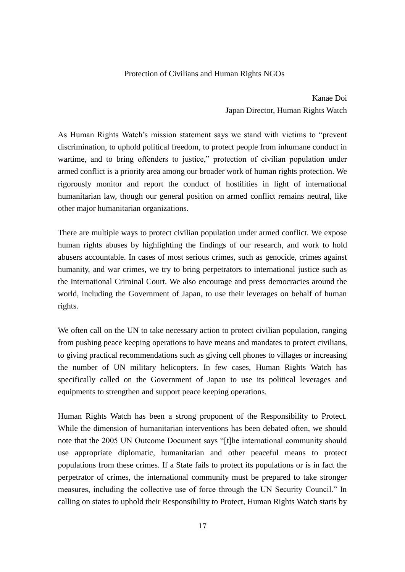#### Protection of Civilians and Human Rights NGOs

Kanae Doi Japan Director, Human Rights Watch

As Human Rights Watch's mission statement says we stand with victims to "prevent discrimination, to uphold political freedom, to protect people from inhumane conduct in wartime, and to bring offenders to justice," protection of civilian population under armed conflict is a priority area among our broader work of human rights protection. We rigorously monitor and report the conduct of hostilities in light of international humanitarian law, though our general position on armed conflict remains neutral, like other major humanitarian organizations.

There are multiple ways to protect civilian population under armed conflict. We expose human rights abuses by highlighting the findings of our research, and work to hold abusers accountable. In cases of most serious crimes, such as genocide, crimes against humanity, and war crimes, we try to bring perpetrators to international justice such as the International Criminal Court. We also encourage and press democracies around the world, including the Government of Japan, to use their leverages on behalf of human rights.

We often call on the UN to take necessary action to protect civilian population, ranging from pushing peace keeping operations to have means and mandates to protect civilians, to giving practical recommendations such as giving cell phones to villages or increasing the number of UN military helicopters. In few cases, Human Rights Watch has specifically called on the Government of Japan to use its political leverages and equipments to strengthen and support peace keeping operations.

Human Rights Watch has been a strong proponent of the Responsibility to Protect. While the dimension of humanitarian interventions has been debated often, we should note that the 2005 UN Outcome Document says "[t]he international community should use appropriate diplomatic, humanitarian and other peaceful means to protect populations from these crimes. If a State fails to protect its populations or is in fact the perpetrator of crimes, the international community must be prepared to take stronger measures, including the collective use of force through the UN Security Council." In calling on states to uphold their Responsibility to Protect, Human Rights Watch starts by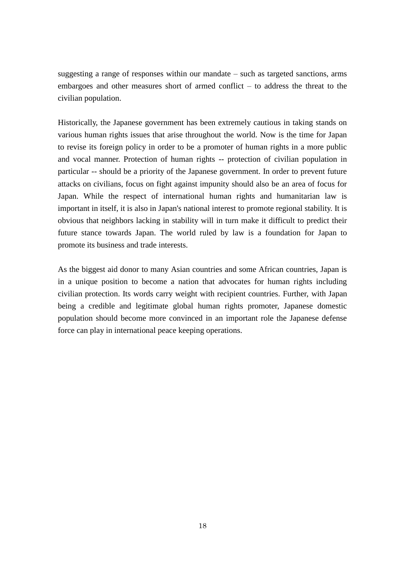suggesting a range of responses within our mandate – such as targeted sanctions, arms embargoes and other measures short of armed conflict – to address the threat to the civilian population.

Historically, the Japanese government has been extremely cautious in taking stands on various human rights issues that arise throughout the world. Now is the time for Japan to revise its foreign policy in order to be a promoter of human rights in a more public and vocal manner. Protection of human rights -- protection of civilian population in particular -- should be a priority of the Japanese government. In order to prevent future attacks on civilians, focus on fight against impunity should also be an area of focus for Japan. While the respect of international human rights and humanitarian law is important in itself, it is also in Japan's national interest to promote regional stability. It is obvious that neighbors lacking in stability will in turn make it difficult to predict their future stance towards Japan. The world ruled by law is a foundation for Japan to promote its business and trade interests.

As the biggest aid donor to many Asian countries and some African countries, Japan is in a unique position to become a nation that advocates for human rights including civilian protection. Its words carry weight with recipient countries. Further, with Japan being a credible and legitimate global human rights promoter, Japanese domestic population should become more convinced in an important role the Japanese defense force can play in international peace keeping operations.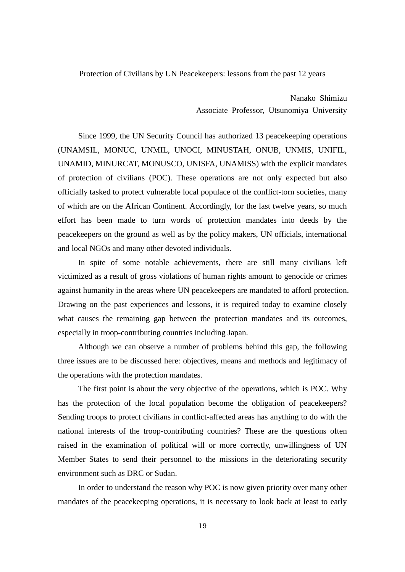Protection of Civilians by UN Peacekeepers: lessons from the past 12 years

Nanako Shimizu Associate Professor, Utsunomiya University

 Since 1999, the UN Security Council has authorized 13 peacekeeping operations (UNAMSIL, MONUC, UNMIL, UNOCI, MINUSTAH, ONUB, UNMIS, UNIFIL, UNAMID, MINURCAT, MONUSCO, UNISFA, UNAMISS) with the explicit mandates of protection of civilians (POC). These operations are not only expected but also officially tasked to protect vulnerable local populace of the conflict-torn societies, many of which are on the African Continent. Accordingly, for the last twelve years, so much effort has been made to turn words of protection mandates into deeds by the peacekeepers on the ground as well as by the policy makers, UN officials, international and local NGOs and many other devoted individuals.

In spite of some notable achievements, there are still many civilians left victimized as a result of gross violations of human rights amount to genocide or crimes against humanity in the areas where UN peacekeepers are mandated to afford protection. Drawing on the past experiences and lessons, it is required today to examine closely what causes the remaining gap between the protection mandates and its outcomes, especially in troop-contributing countries including Japan.

Although we can observe a number of problems behind this gap, the following three issues are to be discussed here: objectives, means and methods and legitimacy of the operations with the protection mandates.

The first point is about the very objective of the operations, which is POC. Why has the protection of the local population become the obligation of peacekeepers? Sending troops to protect civilians in conflict-affected areas has anything to do with the national interests of the troop-contributing countries? These are the questions often raised in the examination of political will or more correctly, unwillingness of UN Member States to send their personnel to the missions in the deteriorating security environment such as DRC or Sudan.

In order to understand the reason why POC is now given priority over many other mandates of the peacekeeping operations, it is necessary to look back at least to early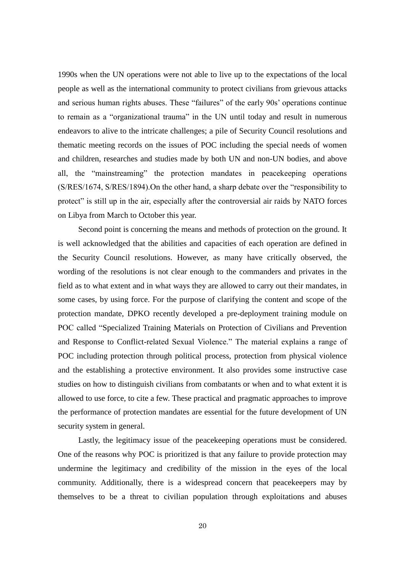1990s when the UN operations were not able to live up to the expectations of the local people as well as the international community to protect civilians from grievous attacks and serious human rights abuses. These "failures" of the early 90s' operations continue to remain as a "organizational trauma" in the UN until today and result in numerous endeavors to alive to the intricate challenges; a pile of Security Council resolutions and thematic meeting records on the issues of POC including the special needs of women and children, researches and studies made by both UN and non-UN bodies, and above all, the "mainstreaming" the protection mandates in peacekeeping operations (S/RES/1674, S/RES/1894).On the other hand, a sharp debate over the "responsibility to protect" is still up in the air, especially after the controversial air raids by NATO forces on Libya from March to October this year.

Second point is concerning the means and methods of protection on the ground. It is well acknowledged that the abilities and capacities of each operation are defined in the Security Council resolutions. However, as many have critically observed, the wording of the resolutions is not clear enough to the commanders and privates in the field as to what extent and in what ways they are allowed to carry out their mandates, in some cases, by using force. For the purpose of clarifying the content and scope of the protection mandate, DPKO recently developed a pre-deployment training module on POC called "Specialized Training Materials on Protection of Civilians and Prevention and Response to Conflict-related Sexual Violence." The material explains a range of POC including protection through political process, protection from physical violence and the establishing a protective environment. It also provides some instructive case studies on how to distinguish civilians from combatants or when and to what extent it is allowed to use force, to cite a few. These practical and pragmatic approaches to improve the performance of protection mandates are essential for the future development of UN security system in general.

Lastly, the legitimacy issue of the peacekeeping operations must be considered. One of the reasons why POC is prioritized is that any failure to provide protection may undermine the legitimacy and credibility of the mission in the eyes of the local community. Additionally, there is a widespread concern that peacekeepers may by themselves to be a threat to civilian population through exploitations and abuses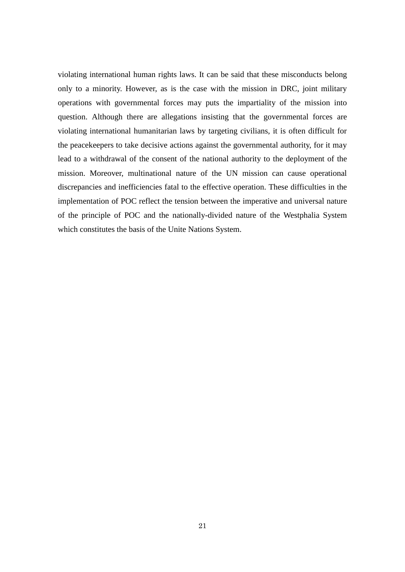violating international human rights laws. It can be said that these misconducts belong only to a minority. However, as is the case with the mission in DRC, joint military operations with governmental forces may puts the impartiality of the mission into question. Although there are allegations insisting that the governmental forces are violating international humanitarian laws by targeting civilians, it is often difficult for the peacekeepers to take decisive actions against the governmental authority, for it may lead to a withdrawal of the consent of the national authority to the deployment of the mission. Moreover, multinational nature of the UN mission can cause operational discrepancies and inefficiencies fatal to the effective operation. These difficulties in the implementation of POC reflect the tension between the imperative and universal nature of the principle of POC and the nationally-divided nature of the Westphalia System which constitutes the basis of the Unite Nations System.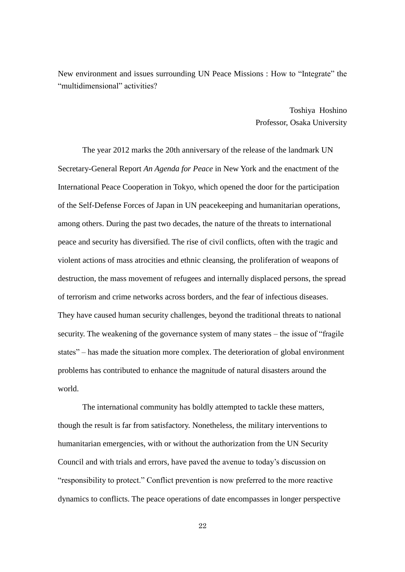New environment and issues surrounding UN Peace Missions : How to "Integrate" the "multidimensional" activities?

> Toshiya Hoshino Professor, Osaka University

The year 2012 marks the 20th anniversary of the release of the landmark UN Secretary-General Report *An Agenda for Peace* in New York and the enactment of the International Peace Cooperation in Tokyo, which opened the door for the participation of the Self-Defense Forces of Japan in UN peacekeeping and humanitarian operations, among others. During the past two decades, the nature of the threats to international peace and security has diversified. The rise of civil conflicts, often with the tragic and violent actions of mass atrocities and ethnic cleansing, the proliferation of weapons of destruction, the mass movement of refugees and internally displaced persons, the spread of terrorism and crime networks across borders, and the fear of infectious diseases. They have caused human security challenges, beyond the traditional threats to national security. The weakening of the governance system of many states – the issue of "fragile states" – has made the situation more complex. The deterioration of global environment problems has contributed to enhance the magnitude of natural disasters around the world.

The international community has boldly attempted to tackle these matters, though the result is far from satisfactory. Nonetheless, the military interventions to humanitarian emergencies, with or without the authorization from the UN Security Council and with trials and errors, have paved the avenue to today's discussion on "responsibility to protect." Conflict prevention is now preferred to the more reactive dynamics to conflicts. The peace operations of date encompasses in longer perspective

22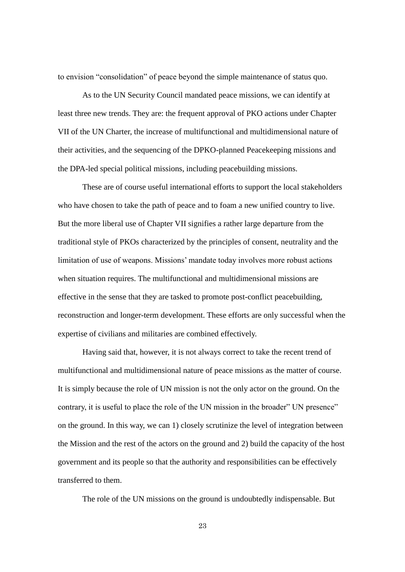to envision "consolidation" of peace beyond the simple maintenance of status quo.

As to the UN Security Council mandated peace missions, we can identify at least three new trends. They are: the frequent approval of PKO actions under Chapter VII of the UN Charter, the increase of multifunctional and multidimensional nature of their activities, and the sequencing of the DPKO-planned Peacekeeping missions and the DPA-led special political missions, including peacebuilding missions.

These are of course useful international efforts to support the local stakeholders who have chosen to take the path of peace and to foam a new unified country to live. But the more liberal use of Chapter VII signifies a rather large departure from the traditional style of PKOs characterized by the principles of consent, neutrality and the limitation of use of weapons. Missions' mandate today involves more robust actions when situation requires. The multifunctional and multidimensional missions are effective in the sense that they are tasked to promote post-conflict peacebuilding, reconstruction and longer-term development. These efforts are only successful when the expertise of civilians and militaries are combined effectively.

Having said that, however, it is not always correct to take the recent trend of multifunctional and multidimensional nature of peace missions as the matter of course. It is simply because the role of UN mission is not the only actor on the ground. On the contrary, it is useful to place the role of the UN mission in the broader" UN presence" on the ground. In this way, we can 1) closely scrutinize the level of integration between the Mission and the rest of the actors on the ground and 2) build the capacity of the host government and its people so that the authority and responsibilities can be effectively transferred to them.

The role of the UN missions on the ground is undoubtedly indispensable. But

23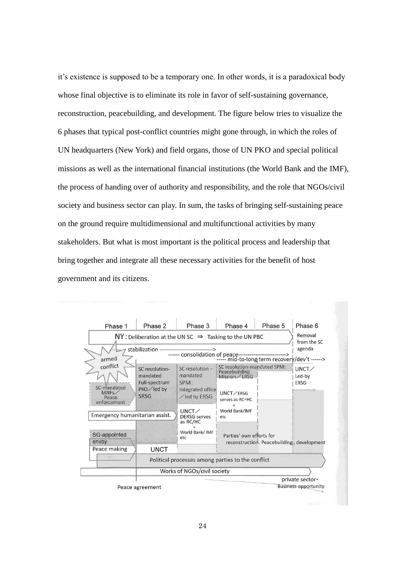it's existence is supposed to be a temporary one. In other words, it is a paradoxical body whose final objective is to eliminate its role in favor of self-sustaining governance, reconstruction, peacebuilding, and development. The figure below tries to visualize the 6 phases that typical post-conflict countries might gone through, in which the roles of UN headquarters (New York) and field organs, those of UN PKO and special political missions as well as the international financial institutions (the World Bank and the IMF), the process of handing over of authority and responsibility, and the role that NGOs/civil society and business sector can play. In sum, the tasks of bringing self-sustaining peace on the ground require multidimensional and multifunctional activities by many stakeholders. But what is most important is the political process and leadership that bring together and integrate all these necessary activities for the benefit of host government and its citizens.

| Phase 1                                                                                                                                                           | Phase 2                                                                    | Phase 3                                                                  | Phase 4                                                                     | Phase 5<br>Phase 6                              |
|-------------------------------------------------------------------------------------------------------------------------------------------------------------------|----------------------------------------------------------------------------|--------------------------------------------------------------------------|-----------------------------------------------------------------------------|-------------------------------------------------|
|                                                                                                                                                                   |                                                                            |                                                                          | $NY$ : Deliberation at the UN SC $\Rightarrow$ Tasking to the UN PBC        | Removal<br>from the SC                          |
| stabilization -----------------------------><br>------ consolidation of peace-------------------------><br>----- mid-to-long term recovery/dev't ------><br>armed |                                                                            |                                                                          |                                                                             |                                                 |
| conflict<br>SC-mandated<br>MNFs<br>Peace                                                                                                                          | SC resolution-<br>mandated<br>Full-spectrum<br>PKO / led by<br><b>SRSG</b> | SC resolution -<br>mandated<br>SPM:<br>Integrated office<br>/led by ERSG | SC resolution-mandated SPM:<br>Peacebuilding<br>Mission / ERSG<br>UNCT/ERSG | UNCT<br>Led-by<br><b>ERSG</b>                   |
| enforcement<br>Emergency humanitarian assist.                                                                                                                     |                                                                            | $UNCT \diagup$<br><b>DERSG</b> serves<br>as RC/HC                        | serves as RC · HC<br>World Bank/IMF<br>etc                                  |                                                 |
| SG-appointed<br>envoy                                                                                                                                             |                                                                            | World Bank/ IMF<br>etc                                                   | Parties' own efforts for<br>reconstruction. Peacebuilding, development      |                                                 |
| Peace making                                                                                                                                                      | <b>UNCT</b>                                                                |                                                                          |                                                                             |                                                 |
|                                                                                                                                                                   |                                                                            |                                                                          | Political processes among parties to the conflict                           |                                                 |
|                                                                                                                                                                   |                                                                            | Works of NGOs/civil society                                              |                                                                             |                                                 |
|                                                                                                                                                                   | Peace agreement                                                            |                                                                          |                                                                             | private sector ·<br><b>Business opportunity</b> |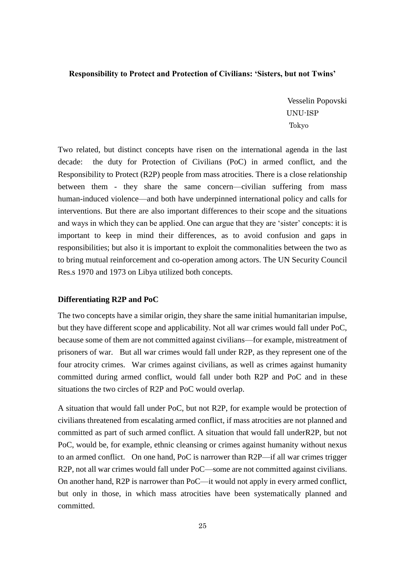#### **Responsibility to Protect and Protection of Civilians: 'Sisters, but not Twins'**

Vesselin Popovski UNU-ISP Tokyo

Two related, but distinct concepts have risen on the international agenda in the last decade: the duty for Protection of Civilians (PoC) in armed conflict, and the Responsibility to Protect (R2P) people from mass atrocities. There is a close relationship between them - they share the same concern—civilian suffering from mass human-induced violence—and both have underpinned international policy and calls for interventions. But there are also important differences to their scope and the situations and ways in which they can be applied. One can argue that they are 'sister' concepts: it is important to keep in mind their differences, as to avoid confusion and gaps in responsibilities; but also it is important to exploit the commonalities between the two as to bring mutual reinforcement and co-operation among actors. The UN Security Council Res.s 1970 and 1973 on Libya utilized both concepts.

#### **Differentiating R2P and PoC**

The two concepts have a similar origin, they share the same initial humanitarian impulse, but they have different scope and applicability. Not all war crimes would fall under PoC, because some of them are not committed against civilians—for example, mistreatment of prisoners of war. But all war crimes would fall under R2P, as they represent one of the four atrocity crimes. War crimes against civilians, as well as crimes against humanity committed during armed conflict, would fall under both R2P and PoC and in these situations the two circles of R2P and PoC would overlap.

A situation that would fall under PoC, but not R2P, for example would be protection of civilians threatened from escalating armed conflict, if mass atrocities are not planned and committed as part of such armed conflict. A situation that would fall underR2P, but not PoC, would be, for example, ethnic cleansing or crimes against humanity without nexus to an armed conflict. On one hand, PoC is narrower than R2P—if all war crimes trigger R2P, not all war crimes would fall under PoC—some are not committed against civilians. On another hand, R2P is narrower than PoC—it would not apply in every armed conflict, but only in those, in which mass atrocities have been systematically planned and committed.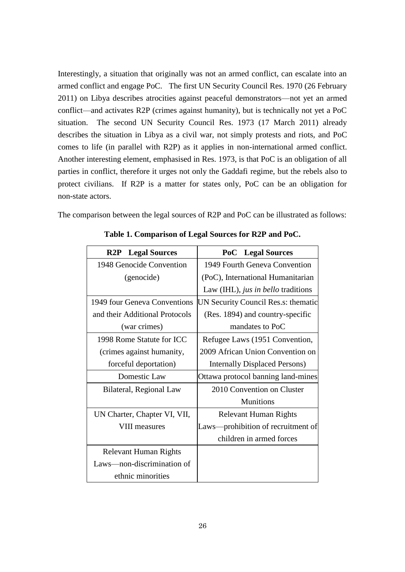Interestingly, a situation that originally was not an armed conflict, can escalate into an armed conflict and engage PoC. The first UN Security Council Res. 1970 (26 February 2011) on Libya describes atrocities against peaceful demonstrators—not yet an armed conflict—and activates R2P (crimes against humanity), but is technically not yet a PoC situation. The second UN Security Council Res. 1973 (17 March 2011) already describes the situation in Libya as a civil war, not simply protests and riots, and PoC comes to life (in parallel with R2P) as it applies in non-international armed conflict. Another interesting element, emphasised in Res. 1973, is that PoC is an obligation of all parties in conflict, therefore it urges not only the Gaddafi regime, but the rebels also to protect civilians. If R2P is a matter for states only, PoC can be an obligation for non-state actors.

The comparison between the legal sources of R2P and PoC can be illustrated as follows:

| <b>Legal Sources</b><br>R2P    | <b>PoC</b> Legal Sources             |  |  |
|--------------------------------|--------------------------------------|--|--|
| 1948 Genocide Convention       | 1949 Fourth Geneva Convention        |  |  |
| (genocide)                     | (PoC), International Humanitarian    |  |  |
|                                | Law (IHL), jus in bello traditions   |  |  |
| 1949 four Geneva Conventions   | UN Security Council Res.s: thematic  |  |  |
| and their Additional Protocols | (Res. 1894) and country-specific     |  |  |
| (war crimes)                   | mandates to PoC                      |  |  |
| 1998 Rome Statute for ICC      | Refugee Laws (1951 Convention,       |  |  |
| (crimes against humanity,      | 2009 African Union Convention on     |  |  |
| forceful deportation)          | <b>Internally Displaced Persons)</b> |  |  |
| Domestic Law                   | Ottawa protocol banning land-mines   |  |  |
| Bilateral, Regional Law        | 2010 Convention on Cluster           |  |  |
|                                | <b>Munitions</b>                     |  |  |
| UN Charter, Chapter VI, VII,   | <b>Relevant Human Rights</b>         |  |  |
| <b>VIII</b> measures           | Laws-prohibition of recruitment of   |  |  |
|                                | children in armed forces             |  |  |
| <b>Relevant Human Rights</b>   |                                      |  |  |
| Laws-non-discrimination of     |                                      |  |  |
| ethnic minorities              |                                      |  |  |

**Table 1. Comparison of Legal Sources for R2P and PoC.**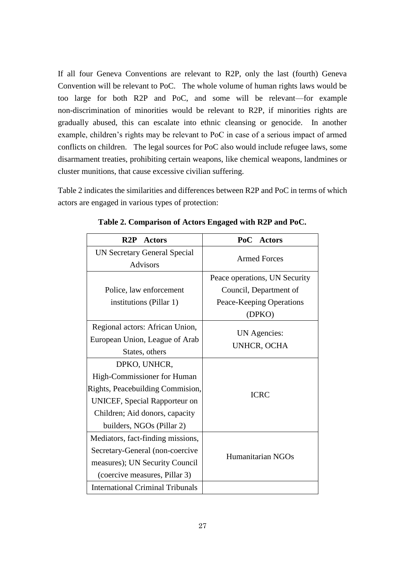If all four Geneva Conventions are relevant to R2P, only the last (fourth) Geneva Convention will be relevant to PoC. The whole volume of human rights laws would be too large for both R2P and PoC, and some will be relevant—for example non-discrimination of minorities would be relevant to R2P, if minorities rights are gradually abused, this can escalate into ethnic cleansing or genocide. In another example, children's rights may be relevant to PoC in case of a serious impact of armed conflicts on children. The legal sources for PoC also would include refugee laws, some disarmament treaties, prohibiting certain weapons, like chemical weapons, landmines or cluster munitions, that cause excessive civilian suffering.

Table 2 indicates the similarities and differences between R2P and PoC in terms of which actors are engaged in various types of protection:

| R2P<br><b>Actors</b>                                                                                                                                                                   | PoC<br><b>Actors</b>                                                                          |  |
|----------------------------------------------------------------------------------------------------------------------------------------------------------------------------------------|-----------------------------------------------------------------------------------------------|--|
| <b>UN Secretary General Special</b><br><b>Advisors</b>                                                                                                                                 | <b>Armed Forces</b>                                                                           |  |
| Police, law enforcement<br>institutions (Pillar 1)                                                                                                                                     | Peace operations, UN Security<br>Council, Department of<br>Peace-Keeping Operations<br>(DPKO) |  |
| Regional actors: African Union,<br>European Union, League of Arab<br>States, others                                                                                                    | UN Agencies:<br>UNHCR, OCHA                                                                   |  |
| DPKO, UNHCR,<br>High-Commissioner for Human<br>Rights, Peacebuilding Commision,<br><b>UNICEF, Special Rapporteur on</b><br>Children; Aid donors, capacity<br>builders, NGOs (Pillar 2) | <b>ICRC</b>                                                                                   |  |
| Mediators, fact-finding missions,<br>Secretary-General (non-coercive<br>measures); UN Security Council<br>(coercive measures, Pillar 3)                                                | Humanitarian NGOs                                                                             |  |
| <b>International Criminal Tribunals</b>                                                                                                                                                |                                                                                               |  |

**Table 2. Comparison of Actors Engaged with R2P and PoC.**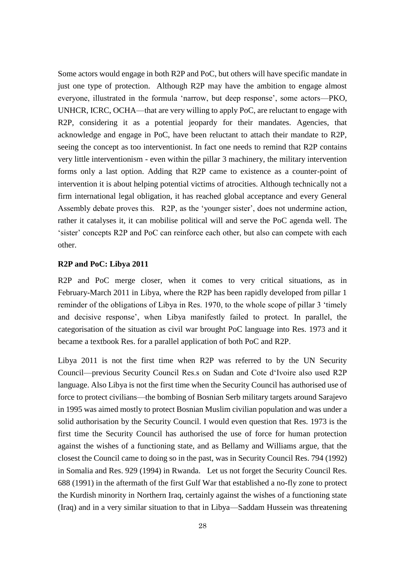Some actors would engage in both R2P and PoC, but others will have specific mandate in just one type of protection. Although R2P may have the ambition to engage almost everyone, illustrated in the formula 'narrow, but deep response', some actors—PKO, UNHCR, ICRC, OCHA—that are very willing to apply PoC, are reluctant to engage with R2P, considering it as a potential jeopardy for their mandates. Agencies, that acknowledge and engage in PoC, have been reluctant to attach their mandate to R2P, seeing the concept as too interventionist. In fact one needs to remind that R2P contains very little interventionism - even within the pillar 3 machinery, the military intervention forms only a last option. Adding that R2P came to existence as a counter-point of intervention it is about helping potential victims of atrocities. Although technically not a firm international legal obligation, it has reached global acceptance and every General Assembly debate proves this. R2P, as the 'younger sister', does not undermine action, rather it catalyses it, it can mobilise political will and serve the PoC agenda well. The 'sister' concepts R2P and PoC can reinforce each other, but also can compete with each other.

#### **R2P and PoC: Libya 2011**

R2P and PoC merge closer, when it comes to very critical situations, as in February-March 2011 in Libya, where the R2P has been rapidly developed from pillar 1 reminder of the obligations of Libya in Res. 1970, to the whole scope of pillar 3 'timely and decisive response', when Libya manifestly failed to protect. In parallel, the categorisation of the situation as civil war brought PoC language into Res. 1973 and it became a textbook Res. for a parallel application of both PoC and R2P.

Libya 2011 is not the first time when R2P was referred to by the UN Security Council—previous Security Council Res.s on Sudan and Cote d'Ivoire also used R2P language. Also Libya is not the first time when the Security Council has authorised use of force to protect civilians—the bombing of Bosnian Serb military targets around Sarajevo in 1995 was aimed mostly to protect Bosnian Muslim civilian population and was under a solid authorisation by the Security Council. I would even question that Res. 1973 is the first time the Security Council has authorised the use of force for human protection against the wishes of a functioning state, and as Bellamy and Williams argue, that the closest the Council came to doing so in the past, was in Security Council Res. 794 (1992) in Somalia and Res. 929 (1994) in Rwanda. Let us not forget the Security Council Res. 688 (1991) in the aftermath of the first Gulf War that established a no-fly zone to protect the Kurdish minority in Northern Iraq, certainly against the wishes of a functioning state (Iraq) and in a very similar situation to that in Libya—Saddam Hussein was threatening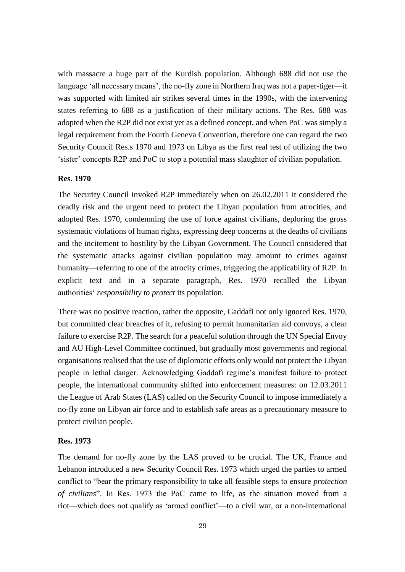with massacre a huge part of the Kurdish population. Although 688 did not use the language 'all necessary means', the no-fly zone in Northern Iraq was not a paper-tiger—it was supported with limited air strikes several times in the 1990s, with the intervening states referring to 688 as a justification of their military actions. The Res. 688 was adopted when the R2P did not exist yet as a defined concept, and when PoC was simply a legal requirement from the Fourth Geneva Convention, therefore one can regard the two Security Council Res.s 1970 and 1973 on Libya as the first real test of utilizing the two 'sister' concepts R2P and PoC to stop a potential mass slaughter of civilian population.

### **Res. 1970**

The Security Council invoked R2P immediately when on 26.02.2011 it considered the deadly risk and the urgent need to protect the Libyan population from atrocities, and adopted Res. 1970, condemning the use of force against civilians, deploring the gross systematic violations of human rights, expressing deep concerns at the deaths of civilians and the incitement to hostility by the Libyan Government. The Council considered that the systematic attacks against civilian population may amount to crimes against humanity—referring to one of the atrocity crimes, triggering the applicability of R2P. In explicit text and in a separate paragraph, Res. 1970 recalled the Libyan authorities' *responsibility to protect* its population.

There was no positive reaction, rather the opposite, Gaddafi not only ignored Res. 1970, but committed clear breaches of it, refusing to permit humanitarian aid convoys, a clear failure to exercise R2P. The search for a peaceful solution through the UN Special Envoy and AU High-Level Committee continued, but gradually most governments and regional organisations realised that the use of diplomatic efforts only would not protect the Libyan people in lethal danger. Acknowledging Gaddafi regime's manifest failure to protect people, the international community shifted into enforcement measures: on 12.03.2011 the League of Arab States (LAS) called on the Security Council to impose immediately a no-fly zone on Libyan air force and to establish safe areas as a precautionary measure to protect civilian people.

#### **Res. 1973**

The demand for no-fly zone by the LAS proved to be crucial. The UK, France and Lebanon introduced a new Security Council Res. 1973 which urged the parties to armed conflict to "bear the primary responsibility to take all feasible steps to ensure *protection of civilians*". In Res. 1973 the PoC came to life, as the situation moved from a riot—which does not qualify as 'armed conflict'—to a civil war, or a non-international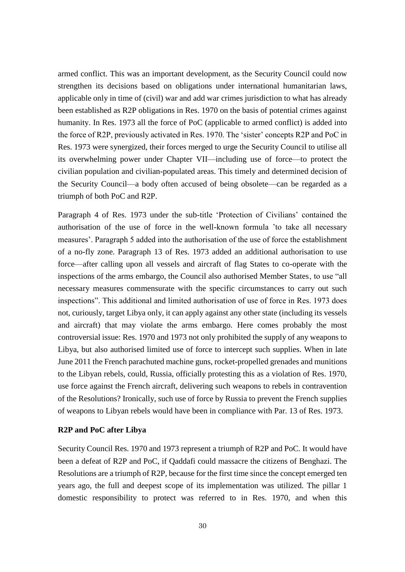armed conflict. This was an important development, as the Security Council could now strengthen its decisions based on obligations under international humanitarian laws, applicable only in time of (civil) war and add war crimes jurisdiction to what has already been established as R2P obligations in Res. 1970 on the basis of potential crimes against humanity. In Res. 1973 all the force of PoC (applicable to armed conflict) is added into the force of R2P, previously activated in Res. 1970. The 'sister' concepts R2P and PoC in Res. 1973 were synergized, their forces merged to urge the Security Council to utilise all its overwhelming power under Chapter VII—including use of force—to protect the civilian population and civilian-populated areas. This timely and determined decision of the Security Council—a body often accused of being obsolete—can be regarded as a triumph of both PoC and R2P.

Paragraph 4 of Res. 1973 under the sub-title 'Protection of Civilians' contained the authorisation of the use of force in the well-known formula 'to take all necessary measures'. Paragraph 5 added into the authorisation of the use of force the establishment of a no-fly zone. Paragraph 13 of Res. 1973 added an additional authorisation to use force—after calling upon all vessels and aircraft of flag States to co-operate with the inspections of the arms embargo, the Council also authorised Member States, to use "all necessary measures commensurate with the specific circumstances to carry out such inspections". This additional and limited authorisation of use of force in Res. 1973 does not, curiously, target Libya only, it can apply against any other state (including its vessels and aircraft) that may violate the arms embargo. Here comes probably the most controversial issue: Res. 1970 and 1973 not only prohibited the supply of any weapons to Libya, but also authorised limited use of force to intercept such supplies. When in late June 2011 the French parachuted machine guns, rocket-propelled grenades and munitions to the Libyan rebels, could, Russia, officially protesting this as a violation of Res. 1970, use force against the French aircraft, delivering such weapons to rebels in contravention of the Resolutions? Ironically, such use of force by Russia to prevent the French supplies of weapons to Libyan rebels would have been in compliance with Par. 13 of Res. 1973.

#### **R2P and PoC after Libya**

Security Council Res. 1970 and 1973 represent a triumph of R2P and PoC. It would have been a defeat of R2P and PoC, if Qaddafi could massacre the citizens of Benghazi. The Resolutions are a triumph of R2P, because for the first time since the concept emerged ten years ago, the full and deepest scope of its implementation was utilized. The pillar 1 domestic responsibility to protect was referred to in Res. 1970, and when this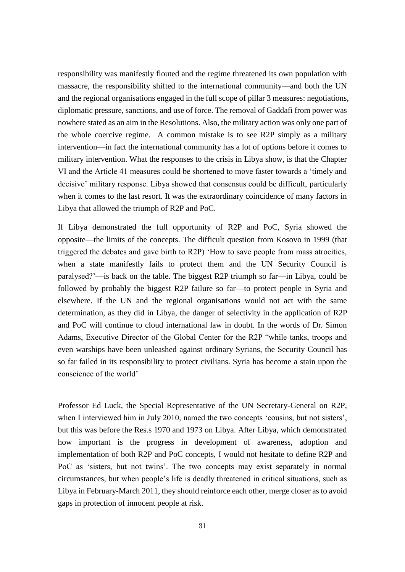responsibility was manifestly flouted and the regime threatened its own population with massacre, the responsibility shifted to the international community—and both the UN and the regional organisations engaged in the full scope of pillar 3 measures: negotiations, diplomatic pressure, sanctions, and use of force. The removal of Gaddafi from power was nowhere stated as an aim in the Resolutions. Also, the military action was only one part of the whole coercive regime. A common mistake is to see R2P simply as a military intervention—in fact the international community has a lot of options before it comes to military intervention. What the responses to the crisis in Libya show, is that the Chapter VI and the Article 41 measures could be shortened to move faster towards a 'timely and decisive' military response. Libya showed that consensus could be difficult, particularly when it comes to the last resort. It was the extraordinary coincidence of many factors in Libya that allowed the triumph of R2P and PoC.

If Libya demonstrated the full opportunity of R2P and PoC, Syria showed the opposite—the limits of the concepts. The difficult question from Kosovo in 1999 (that triggered the debates and gave birth to R2P) 'How to save people from mass atrocities, when a state manifestly fails to protect them and the UN Security Council is paralysed?'—is back on the table. The biggest R2P triumph so far—in Libya, could be followed by probably the biggest R2P failure so far—to protect people in Syria and elsewhere. If the UN and the regional organisations would not act with the same determination, as they did in Libya, the danger of selectivity in the application of R2P and PoC will continue to cloud international law in doubt. In the words of Dr. Simon Adams, Executive Director of the Global Center for the R2P "while tanks, troops and even warships have been unleashed against ordinary Syrians, the Security Council has so far failed in its responsibility to protect civilians. Syria has become a stain upon the conscience of the world'

Professor Ed Luck, the Special Representative of the UN Secretary-General on R2P, when I interviewed him in July 2010, named the two concepts 'cousins, but not sisters', but this was before the Res.s 1970 and 1973 on Libya. After Libya, which demonstrated how important is the progress in development of awareness, adoption and implementation of both R2P and PoC concepts, I would not hesitate to define R2P and PoC as 'sisters, but not twins'. The two concepts may exist separately in normal circumstances, but when people's life is deadly threatened in critical situations, such as Libya in February-March 2011, they should reinforce each other, merge closer as to avoid gaps in protection of innocent people at risk.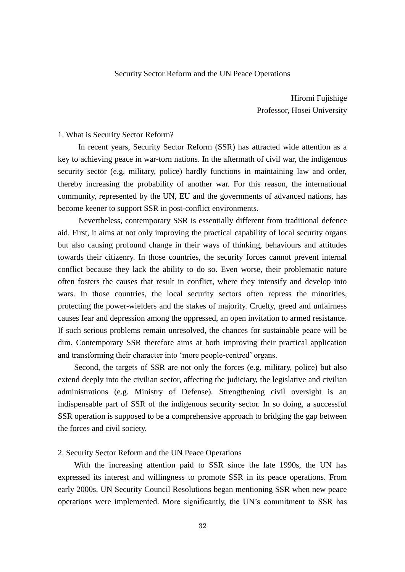#### Security Sector Reform and the UN Peace Operations

Hiromi Fujishige Professor, Hosei University

#### 1. What is Security Sector Reform?

In recent years, Security Sector Reform (SSR) has attracted wide attention as a key to achieving peace in war-torn nations. In the aftermath of civil war, the indigenous security sector (e.g. military, police) hardly functions in maintaining law and order, thereby increasing the probability of another war. For this reason, the international community, represented by the UN, EU and the governments of advanced nations, has become keener to support SSR in post-conflict environments.

 Nevertheless, contemporary SSR is essentially different from traditional defence aid. First, it aims at not only improving the practical capability of local security organs but also causing profound change in their ways of thinking, behaviours and attitudes towards their citizenry. In those countries, the security forces cannot prevent internal conflict because they lack the ability to do so. Even worse, their problematic nature often fosters the causes that result in conflict, where they intensify and develop into wars. In those countries, the local security sectors often repress the minorities, protecting the power-wielders and the stakes of majority. Cruelty, greed and unfairness causes fear and depression among the oppressed, an open invitation to armed resistance. If such serious problems remain unresolved, the chances for sustainable peace will be dim. Contemporary SSR therefore aims at both improving their practical application and transforming their character into 'more people-centred' organs.

 Second, the targets of SSR are not only the forces (e.g. military, police) but also extend deeply into the civilian sector, affecting the judiciary, the legislative and civilian administrations (e.g. Ministry of Defense). Strengthening civil oversight is an indispensable part of SSR of the indigenous security sector. In so doing, a successful SSR operation is supposed to be a comprehensive approach to bridging the gap between the forces and civil society.

#### 2. Security Sector Reform and the UN Peace Operations

 With the increasing attention paid to SSR since the late 1990s, the UN has expressed its interest and willingness to promote SSR in its peace operations. From early 2000s, UN Security Council Resolutions began mentioning SSR when new peace operations were implemented. More significantly, the UN's commitment to SSR has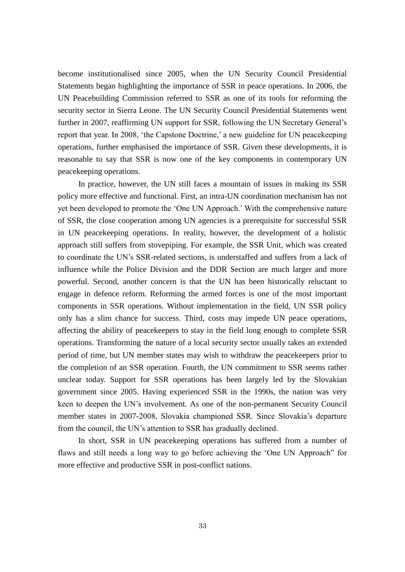become institutionalised since 2005, when the UN Security Council Presidential Statements began highlighting the importance of SSR in peace operations. In 2006, the UN Peacebuilding Commission referred to SSR as one of its tools for reforming the security sector in Sierra Leone. The UN Security Council Presidential Statements went further in 2007, reaffirming UN support for SSR, following the UN Secretary General's report that year. In 2008, 'the Capstone Doctrine,' a new guideline for UN peacekeeping operations, further emphasised the importance of SSR. Given these developments, it is reasonable to say that SSR is now one of the key components in contemporary UN peacekeeping operations.

 In practice, however, the UN still faces a mountain of issues in making its SSR policy more effective and functional. First, an intra-UN coordination mechanism has not yet been developed to promote the 'One UN Approach.' With the comprehensive nature of SSR, the close cooperation among UN agencies is a prerequisite for successful SSR in UN peacekeeping operations. In reality, however, the development of a holistic approach still suffers from stovepiping. For example, the SSR Unit, which was created to coordinate the UN's SSR-related sections, is understaffed and suffers from a lack of influence while the Police Division and the DDR Section are much larger and more powerful. Second, another concern is that the UN has been historically reluctant to engage in defence reform. Reforming the armed forces is one of the most important components in SSR operations. Without implementation in the field, UN SSR policy only has a slim chance for success. Third, costs may impede UN peace operations, affecting the ability of peacekeepers to stay in the field long enough to complete SSR operations. Transforming the nature of a local security sector usually takes an extended period of time, but UN member states may wish to withdraw the peacekeepers prior to the completion of an SSR operation. Fourth, the UN commitment to SSR seems rather unclear today. Support for SSR operations has been largely led by the Slovakian government since 2005. Having experienced SSR in the 1990s, the nation was very keen to deepen the UN's involvement. As one of the non-permanent Security Council member states in 2007-2008, Slovakia championed SSR. Since Slovakia's departure from the council, the UN's attention to SSR has gradually declined.

In short, SSR in UN peacekeeping operations has suffered from a number of flaws and still needs a long way to go before achieving the 'One UN Approach" for more effective and productive SSR in post-conflict nations.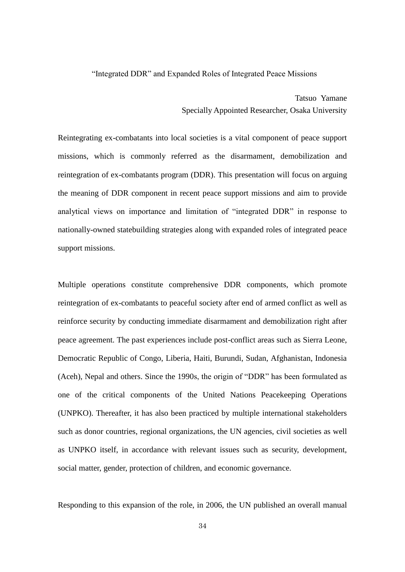#### "Integrated DDR" and Expanded Roles of Integrated Peace Missions

Tatsuo Yamane Specially Appointed Researcher, Osaka University

Reintegrating ex-combatants into local societies is a vital component of peace support missions, which is commonly referred as the disarmament, demobilization and reintegration of ex-combatants program (DDR). This presentation will focus on arguing the meaning of DDR component in recent peace support missions and aim to provide analytical views on importance and limitation of "integrated DDR" in response to nationally-owned statebuilding strategies along with expanded roles of integrated peace support missions.

Multiple operations constitute comprehensive DDR components, which promote reintegration of ex-combatants to peaceful society after end of armed conflict as well as reinforce security by conducting immediate disarmament and demobilization right after peace agreement. The past experiences include post-conflict areas such as Sierra Leone, Democratic Republic of Congo, Liberia, Haiti, Burundi, Sudan, Afghanistan, Indonesia (Aceh), Nepal and others. Since the 1990s, the origin of "DDR" has been formulated as one of the critical components of the United Nations Peacekeeping Operations (UNPKO). Thereafter, it has also been practiced by multiple international stakeholders such as donor countries, regional organizations, the UN agencies, civil societies as well as UNPKO itself, in accordance with relevant issues such as security, development, social matter, gender, protection of children, and economic governance.

Responding to this expansion of the role, in 2006, the UN published an overall manual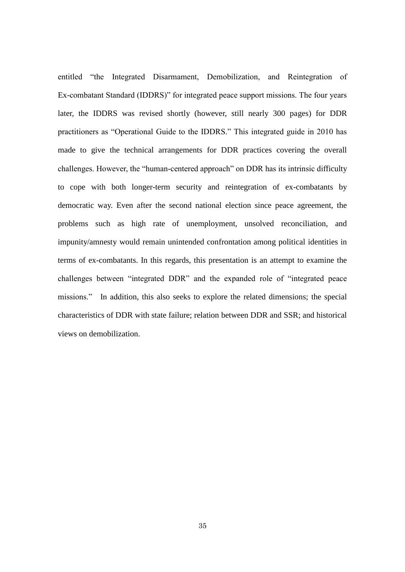entitled "the Integrated Disarmament, Demobilization, and Reintegration of Ex-combatant Standard (IDDRS)" for integrated peace support missions. The four years later, the IDDRS was revised shortly (however, still nearly 300 pages) for DDR practitioners as "Operational Guide to the IDDRS." This integrated guide in 2010 has made to give the technical arrangements for DDR practices covering the overall challenges. However, the "human-centered approach" on DDR has its intrinsic difficulty to cope with both longer-term security and reintegration of ex-combatants by democratic way. Even after the second national election since peace agreement, the problems such as high rate of unemployment, unsolved reconciliation, and impunity/amnesty would remain unintended confrontation among political identities in terms of ex-combatants. In this regards, this presentation is an attempt to examine the challenges between "integrated DDR" and the expanded role of "integrated peace missions." In addition, this also seeks to explore the related dimensions; the special characteristics of DDR with state failure; relation between DDR and SSR; and historical views on demobilization.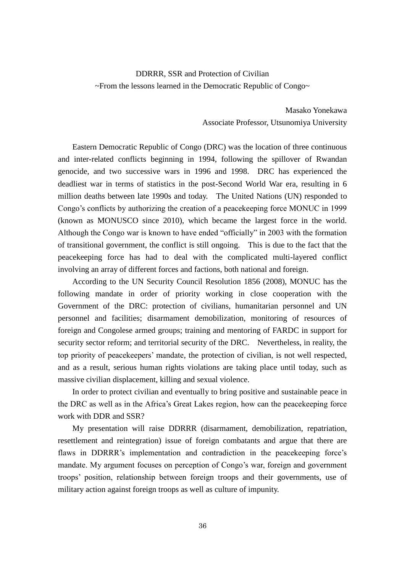# DDRRR, SSR and Protection of Civilian ~From the lessons learned in the Democratic Republic of Congo~

Masako Yonekawa Associate Professor, Utsunomiya University

Eastern Democratic Republic of Congo (DRC) was the location of three continuous and inter-related conflicts beginning in 1994, following the spillover of Rwandan genocide, and two successive wars in 1996 and 1998. DRC has experienced the deadliest war in terms of statistics in the post-Second World War era, resulting in 6 million deaths between late 1990s and today. The United Nations (UN) responded to Congo's conflicts by authorizing the creation of a peacekeeping force MONUC in 1999 (known as MONUSCO since 2010), which became the largest force in the world. Although the Congo war is known to have ended "officially" in 2003 with the formation of transitional government, the conflict is still ongoing. This is due to the fact that the peacekeeping force has had to deal with the complicated multi-layered conflict involving an array of different forces and factions, both national and foreign.

According to the UN Security Council Resolution 1856 (2008), MONUC has the following mandate in order of priority working in close cooperation with the Government of the DRC: protection of civilians, humanitarian personnel and UN personnel and facilities; disarmament demobilization, monitoring of resources of foreign and Congolese armed groups; training and mentoring of FARDC in support for security sector reform; and territorial security of the DRC. Nevertheless, in reality, the top priority of peacekeepers' mandate, the protection of civilian, is not well respected, and as a result, serious human rights violations are taking place until today, such as massive civilian displacement, killing and sexual violence.

In order to protect civilian and eventually to bring positive and sustainable peace in the DRC as well as in the Africa's Great Lakes region, how can the peacekeeping force work with DDR and SSR?

My presentation will raise DDRRR (disarmament, demobilization, repatriation, resettlement and reintegration) issue of foreign combatants and argue that there are flaws in DDRRR's implementation and contradiction in the peacekeeping force's mandate. My argument focuses on perception of Congo's war, foreign and government troops' position, relationship between foreign troops and their governments, use of military action against foreign troops as well as culture of impunity.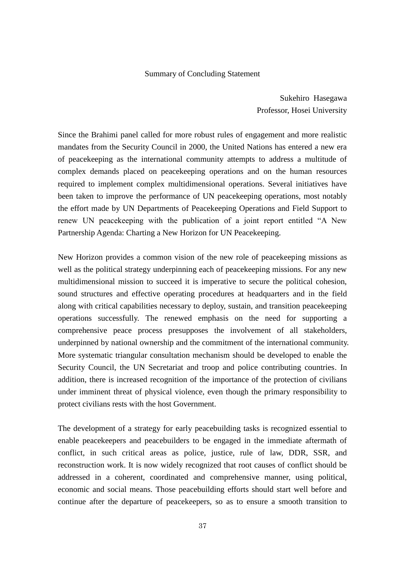#### Summary of Concluding Statement

Sukehiro Hasegawa Professor, Hosei University

Since the Brahimi panel called for more robust rules of engagement and more realistic mandates from the Security Council in 2000, the United Nations has entered a new era of peacekeeping as the international community attempts to address a multitude of complex demands placed on peacekeeping operations and on the human resources required to implement complex multidimensional operations. Several initiatives have been taken to improve the performance of UN peacekeeping operations, most notably the effort made by UN Departments of Peacekeeping Operations and Field Support to renew UN peacekeeping with the publication of a joint report entitled "A New Partnership Agenda: Charting a New Horizon for UN Peacekeeping.

New Horizon provides a common vision of the new role of peacekeeping missions as well as the political strategy underpinning each of peacekeeping missions. For any new multidimensional mission to succeed it is imperative to secure the political cohesion, sound structures and effective operating procedures at headquarters and in the field along with critical capabilities necessary to deploy, sustain, and transition peacekeeping operations successfully. The renewed emphasis on the need for supporting a comprehensive peace process presupposes the involvement of all stakeholders, underpinned by national ownership and the commitment of the international community. More systematic triangular consultation mechanism should be developed to enable the Security Council, the UN Secretariat and troop and police contributing countries. In addition, there is increased recognition of the importance of the protection of civilians under imminent threat of physical violence, even though the primary responsibility to protect civilians rests with the host Government.

The development of a strategy for early peacebuilding tasks is recognized essential to enable peacekeepers and peacebuilders to be engaged in the immediate aftermath of conflict, in such critical areas as police, justice, rule of law, DDR, SSR, and reconstruction work. It is now widely recognized that root causes of conflict should be addressed in a coherent, coordinated and comprehensive manner, using political, economic and social means. Those peacebuilding efforts should start well before and continue after the departure of peacekeepers, so as to ensure a smooth transition to